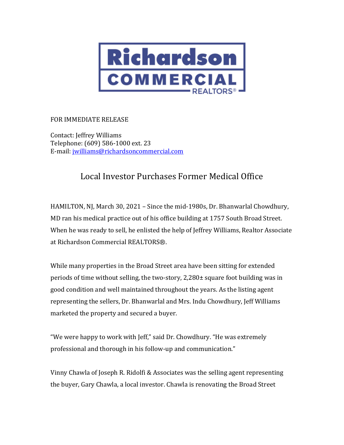

## FOR IMMEDIATE RELEASE

Contact: Jeffrey Williams Telephone: (609) 586-1000 ext. 23 E-mail: [jwilliams@richardsoncommercial.com](mailto:jwilliams@richardsoncommercial.com)

## Local Investor Purchases Former Medical Office

HAMILTON, NJ, March 30, 2021 – Since the mid-1980s, Dr. Bhanwarlal Chowdhury, MD ran his medical practice out of his office building at 1757 South Broad Street. When he was ready to sell, he enlisted the help of Jeffrey Williams, Realtor Associate at Richardson Commercial REALTORS®.

While many properties in the Broad Street area have been sitting for extended periods of time without selling, the two-story, 2,280± square foot building was in good condition and well maintained throughout the years. As the listing agent representing the sellers, Dr. Bhanwarlal and Mrs. Indu Chowdhury, Jeff Williams marketed the property and secured a buyer.

"We were happy to work with Jeff," said Dr. Chowdhury. "He was extremely professional and thorough in his follow-up and communication."

Vinny Chawla of Joseph R. Ridolfi & Associates was the selling agent representing the buyer, Gary Chawla, a local investor. Chawla is renovating the Broad Street